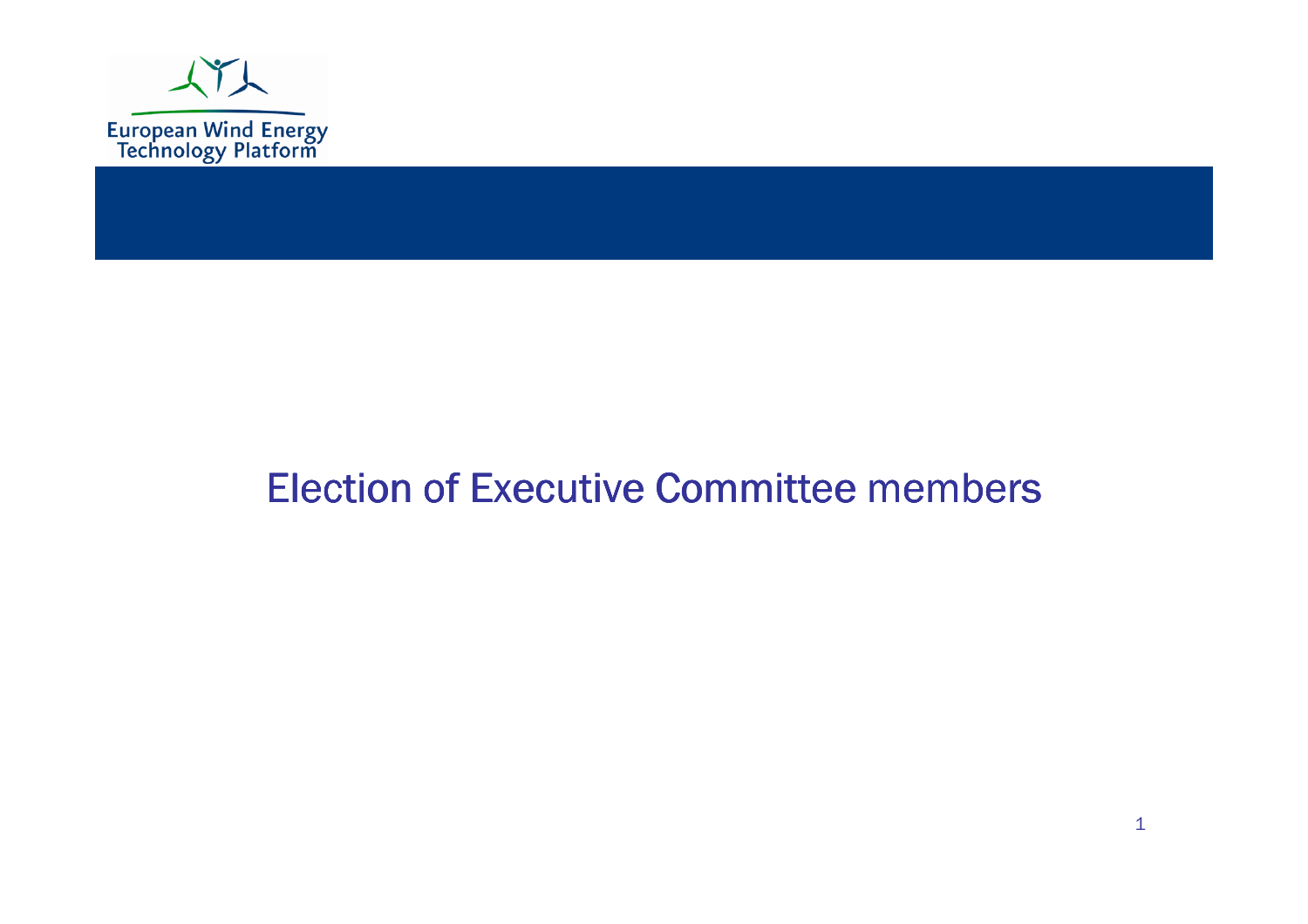

#### Election of Executive Committee members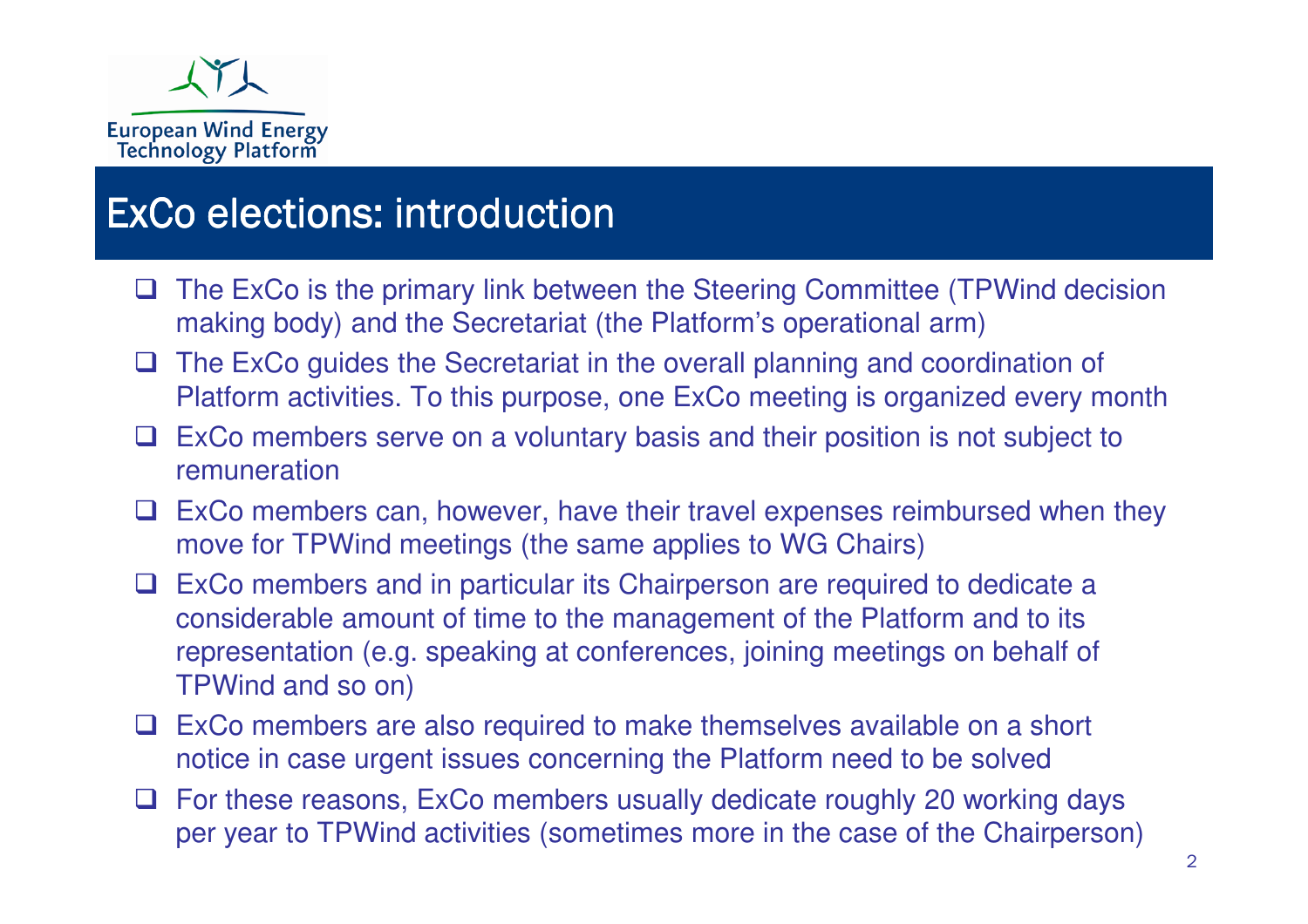

## ExCo elections: introduction

- $\Box$  The ExCo is the primary link between the Steering Committee (TPWind decision making body) and the Secretariat (the Platform's operational arm)
- $\Box$  The ExCo guides the Secretariat in the overall planning and coordination of Platform activities. To this purpose, one ExCo meeting is organized every month
- $\Box$  ExCo members serve on a voluntary basis and their position is not subject to remuneration remuneration
- $\Box$  ExCo members can, however, have their travel expenses reimbursed when they move for TPWind meetings (the same applies to WG Chairs)
- $\Box$  ExCo members and in particular its Chairperson are required to dedicate a considerable amount of time to the management of the Platform and to its considerable amount of time to the management of the Platform and to its representation (e.g. speaking at conferences, joining meetings on behalf of TPWind and so on)
- $\Box$  ExCo members are also required to make themselves available on a short notice in case urgent issues concerning the Platform need to be solved
- $\Box$  For these reasons, ExCo members usually dedicate roughly 20 working days nor year to TPWind activities (semptimes more in the case of the Chairperson  $\Box$ per year to TPWind activities (sometimes more in the case of the Chairperson)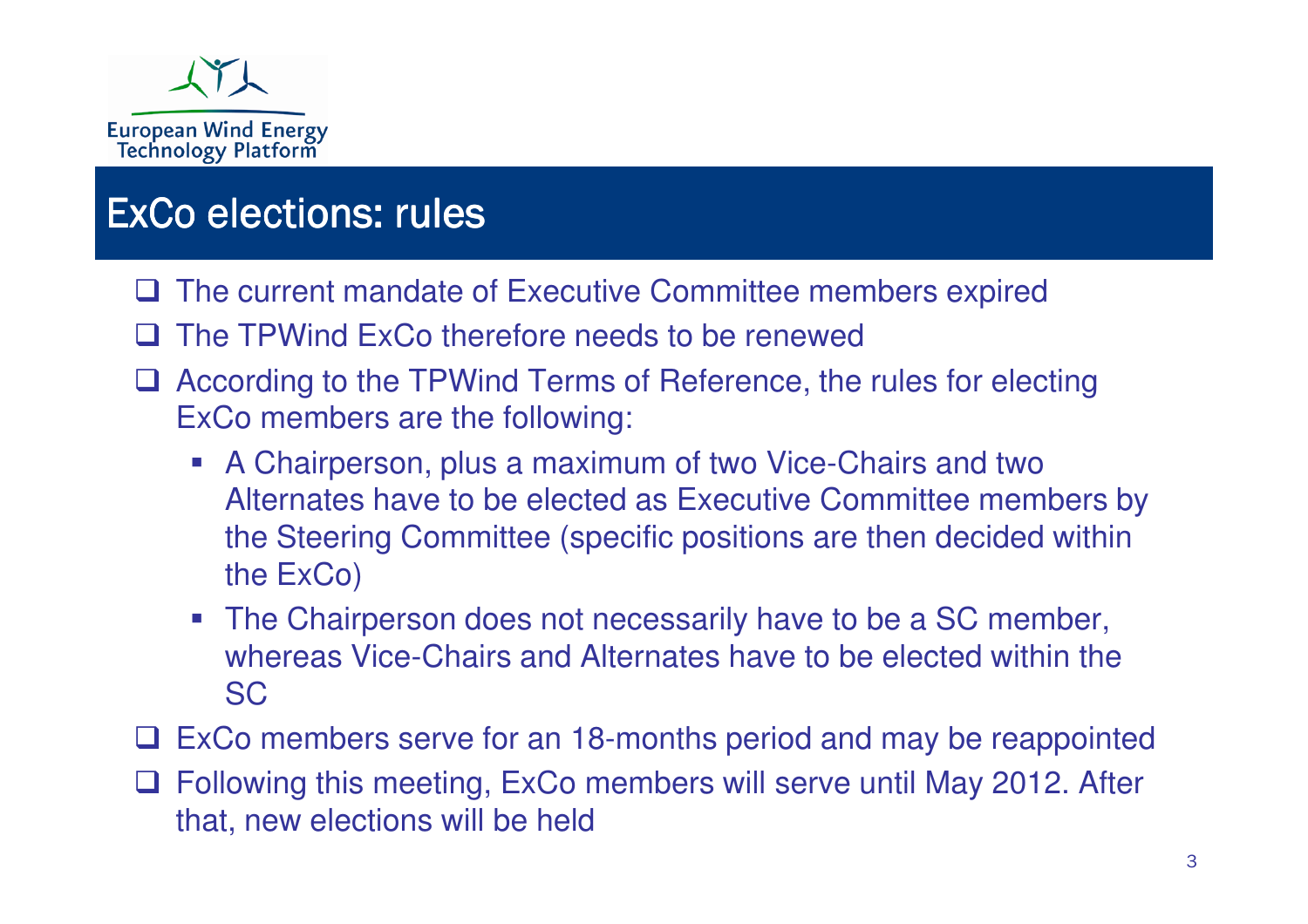

## ExCo elections: rules

- **Q The current mandate of Executive Committee members expired**
- $\Box$ The TPWind ExCo therefore needs to be renewed
- □ According to the TPWind Terms of Reference, the rules for electing<br>ExCo mombors are the following: ExCo members are the following:
	- A Chairperson, plus a maximum of two Vice-Chairs and two Alternates have to be elected as Executive Committee members by the Steering Committee (specific positions are then decided within the ExCo)
	- The Chairperson does not necessarily have to be a SC member, whereas Vice-Chairs and Alternates have to be elected within the SC
- $\Box$  ExCo members serve for an 18-months period and may be reappointed
- □ Following this meeting, ExCo members will serve until May 2012. After<br>that now elections will be hold that, new elections will be held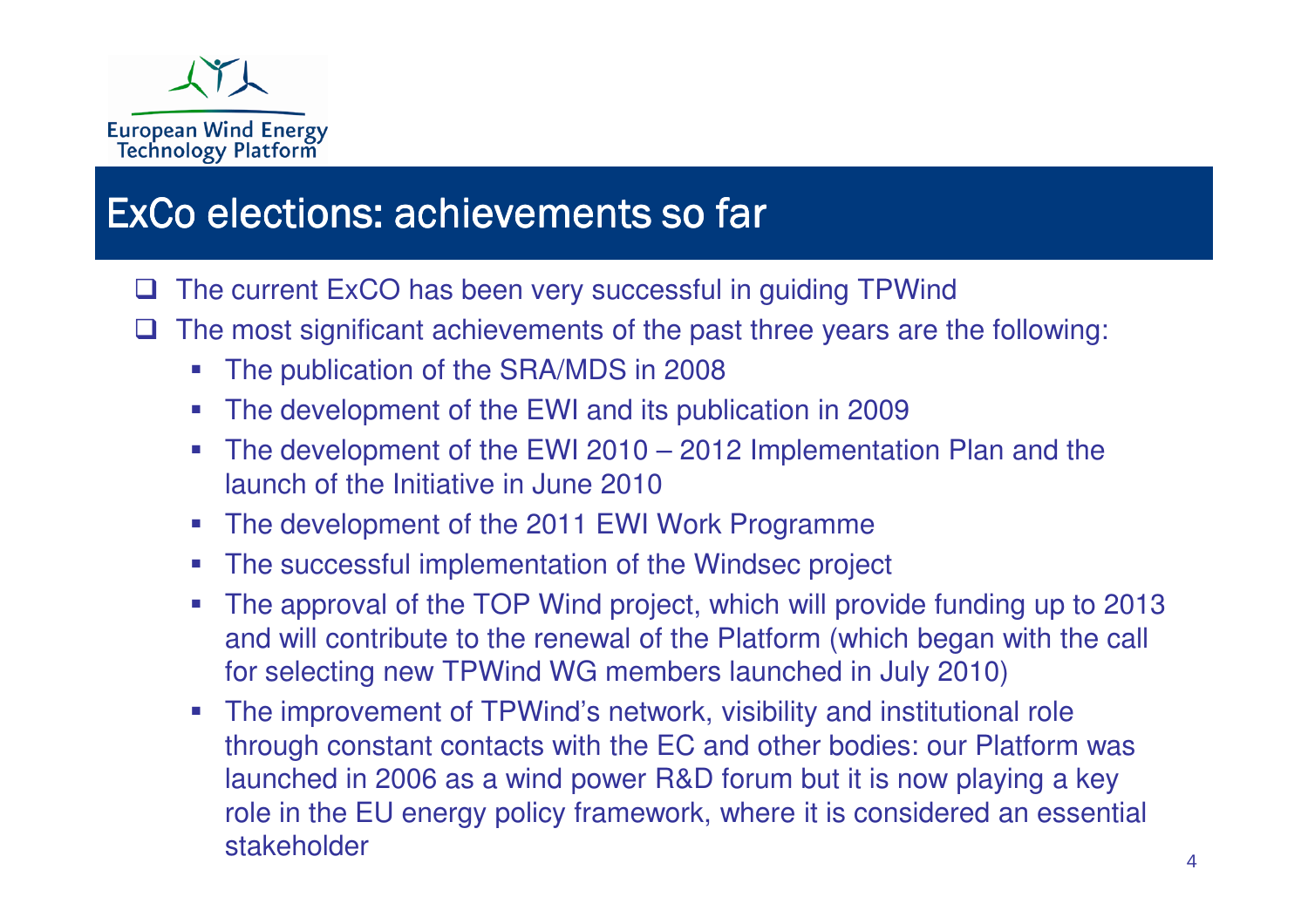

#### ExCo elections: achievements so far

- $\Box$ The current ExCO has been very successful in guiding TPWind
- $\sqcup$  The most significant achievements of the past three years are the following:
	- -The publication of the SRA/MDS in 2008
	- The development of the EWI and its publication in 2009
	- The development of the EWI 2010 2012 Implementation Plan and the launch of the Initiative in June 2010
	- The development of the 2011 EWI Work Programme
	- The successful implementation of the Windsec project
	- - The approval of the TOP Wind project, which will provide funding up to 2013 and will contribute to the renewal of the Platform (which began with the call for selecting new TPWind WG members launched in July 2010)
	- The improvement of TPWind's network, visibility and institutional role through constant contacts with the EC and other bodies: our Platform was launched in 2006 as a wind power R&D forum but it is now playing a key role in the EU energy policy framework, where it is considered an essential stakeholder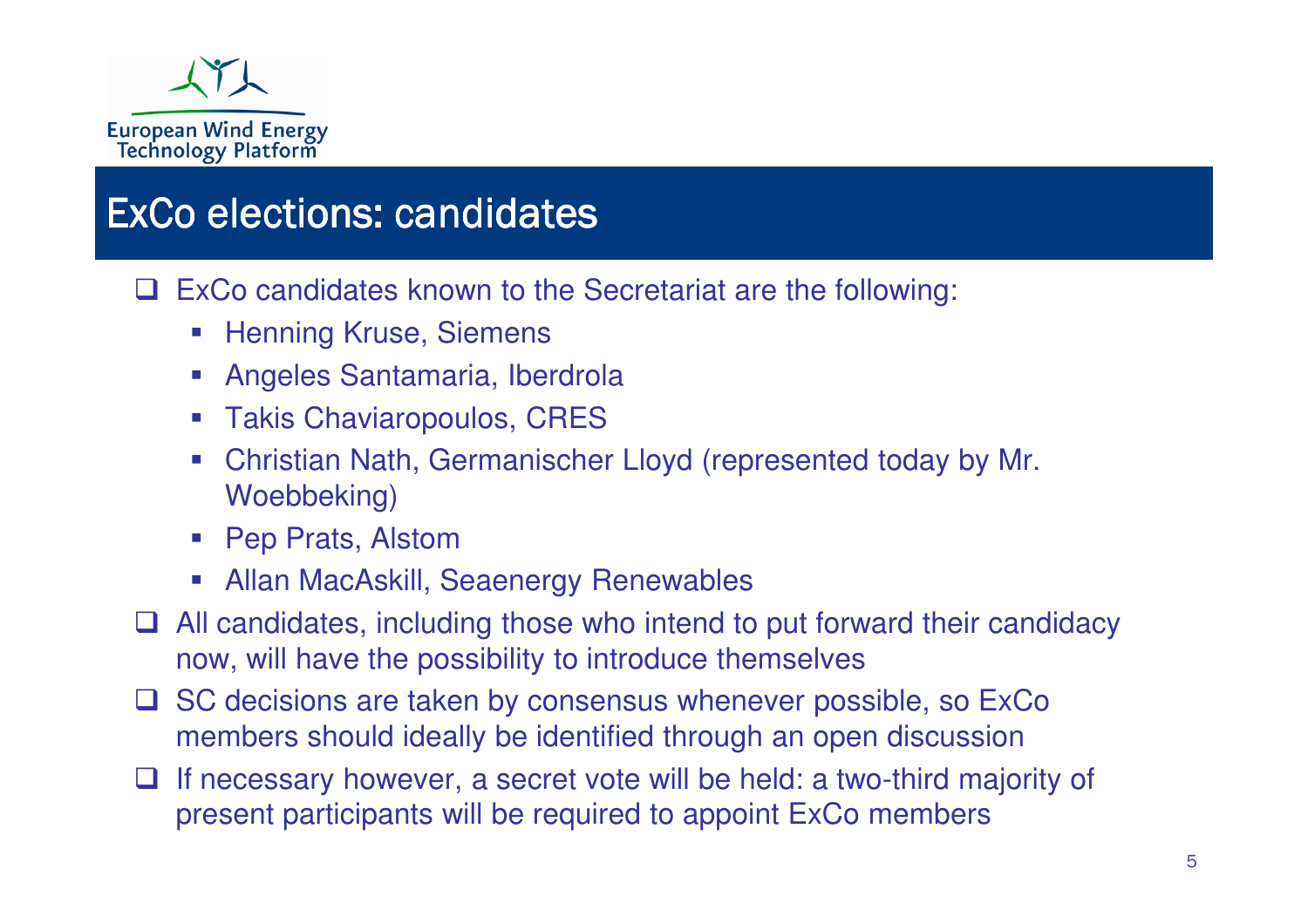

### ExCo elections: candidates

 $\Box$ ExCo candidates known to the Secretariat are the following:

- -Henning Kruse, Siemens
- $\mathcal{L}_{\mathcal{A}}$ Angeles Santamaria, Iberdrola
- Takis Chaviaropoulos, CRES
- Christian Nath, Germanischer Lloyd (represented today by Mr. Woebbeking)
- Pep Prats, Alstom
- **Allan MacAskill, Seaenergy Renewables**
- $\Box$  All candidates, including those who intend to put forward their candidacy now, will have the possibility to introduce themselves
- $\Box$  SC decisions are taken by consensus whenever possible, so ExCo members should ideally be identified through an open discussion
- $\Box$  If necessary however, a secret vote will be held: a two-third majority of present participants will be required to appoint ExCo members